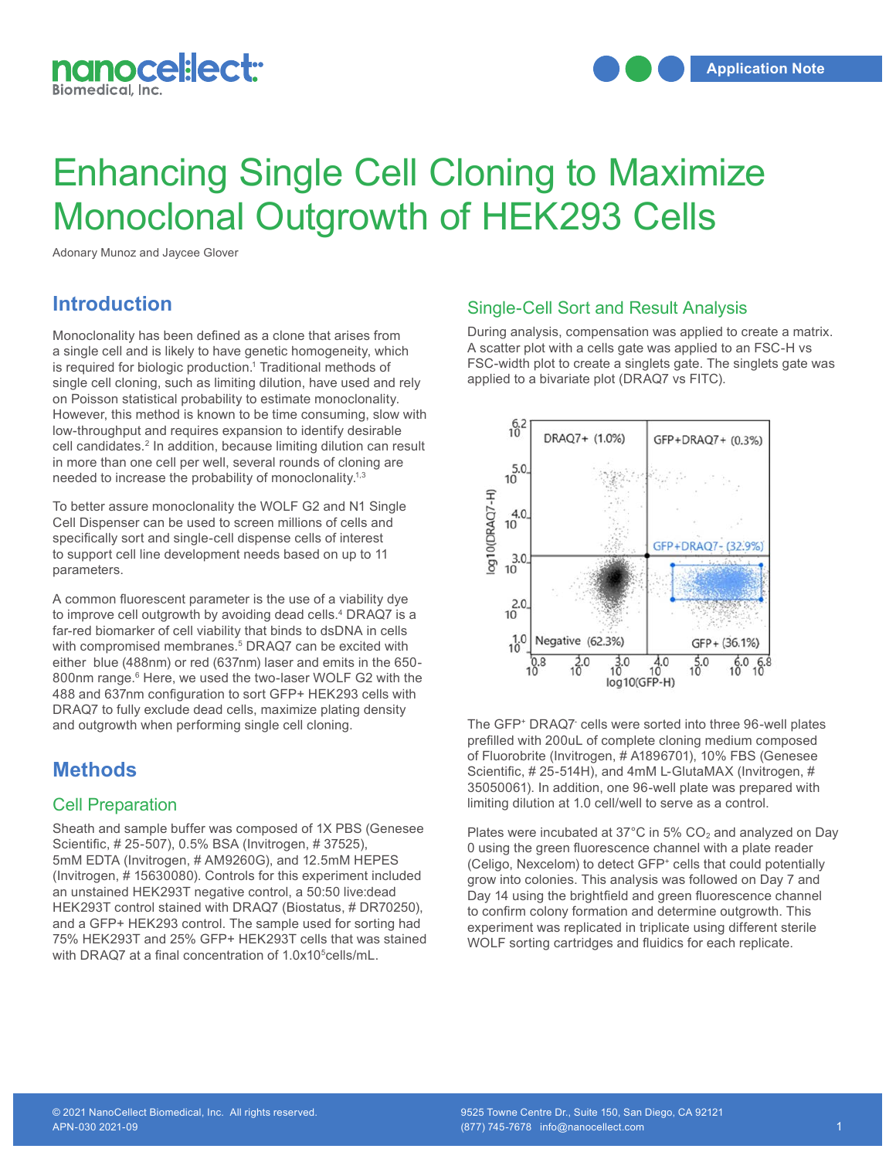

# Enhancing Single Cell Cloning to Maximize Monoclonal Outgrowth of HEK293 Cells

Adonary Munoz and Jaycee Glover

## **Introduction**

Monoclonality has been defined as a clone that arises from a single cell and is likely to have genetic homogeneity, which is required for biologic production.<sup>1</sup> Traditional methods of single cell cloning, such as limiting dilution, have used and rely on Poisson statistical probability to estimate monoclonality. However, this method is known to be time consuming, slow with low-throughput and requires expansion to identify desirable cell candidates.<sup>2</sup> In addition, because limiting dilution can result in more than one cell per well, several rounds of cloning are needed to increase the probability of monoclonality.<sup>1,3</sup>

To better assure monoclonality the WOLF G2 and N1 Single Cell Dispenser can be used to screen millions of cells and specifically sort and single-cell dispense cells of interest to support cell line development needs based on up to 11 parameters.

A common fluorescent parameter is the use of a viability dye to improve cell outgrowth by avoiding dead cells.<sup>4</sup> DRAQ7 is a far-red biomarker of cell viability that binds to dsDNA in cells with compromised membranes.<sup>5</sup> DRAQ7 can be excited with either blue (488nm) or red (637nm) laser and emits in the 650- 800nm range.<sup>6</sup> Here, we used the two-laser WOLF G2 with the 488 and 637nm configuration to sort GFP+ HEK293 cells with DRAQ7 to fully exclude dead cells, maximize plating density and outgrowth when performing single cell cloning.

### **Methods**

### Cell Preparation

Sheath and sample buffer was composed of 1X PBS (Genesee Scientific, # 25-507), 0.5% BSA (Invitrogen, # 37525), 5mM EDTA (Invitrogen, # AM9260G), and 12.5mM HEPES (Invitrogen, # 15630080). Controls for this experiment included an unstained HEK293T negative control, a 50:50 live:dead HEK293T control stained with DRAQ7 (Biostatus, # DR70250), and a GFP+ HEK293 control. The sample used for sorting had 75% HEK293T and 25% GFP+ HEK293T cells that was stained with DRAQ7 at a final concentration of 1.0x10<sup>5</sup>cells/mL.

#### Single-Cell Sort and Result Analysis

During analysis, compensation was applied to create a matrix. A scatter plot with a cells gate was applied to an FSC-H vs FSC-width plot to create a singlets gate. The singlets gate was applied to a bivariate plot (DRAQ7 vs FITC).



The GFP<sup>+</sup> DRAQ7- cells were sorted into three 96-well plates prefilled with 200uL of complete cloning medium composed of Fluorobrite (Invitrogen, # A1896701), 10% FBS (Genesee Scientific, # 25-514H), and 4mM L-GlutaMAX (Invitrogen, # 35050061). In addition, one 96-well plate was prepared with limiting dilution at 1.0 cell/well to serve as a control.

Plates were incubated at 37 $^{\circ}$ C in 5% CO<sub>2</sub> and analyzed on Day 0 using the green fluorescence channel with a plate reader (Celigo, Nexcelom) to detect GFP<sup>+</sup> cells that could potentially grow into colonies. This analysis was followed on Day 7 and Day 14 using the brightfield and green fluorescence channel to confirm colony formation and determine outgrowth. This experiment was replicated in triplicate using different sterile WOLF sorting cartridges and fluidics for each replicate.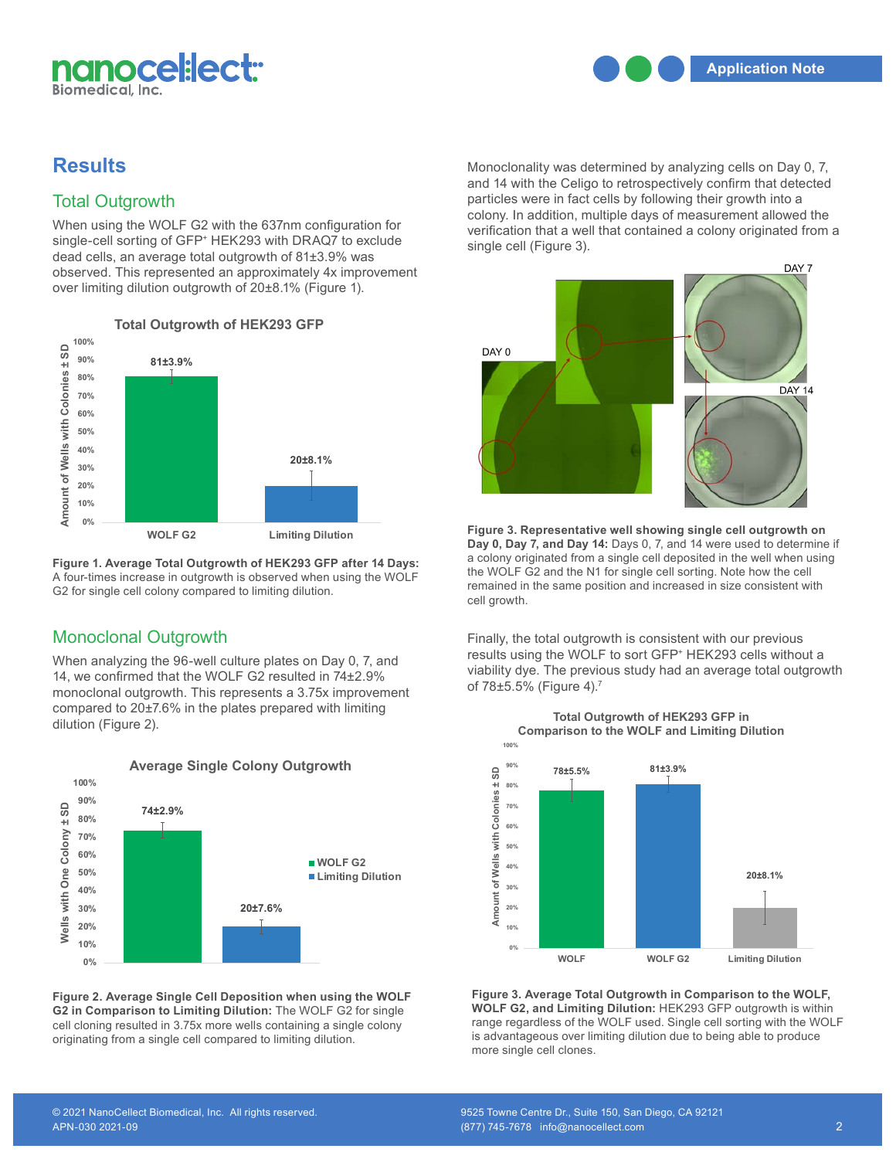

# **Results**

# Total Outgrowth

When using the WOLF G2 with the 637nm configuration for single-cell sorting of GFP<sup>+</sup> HEK293 with DRAQ7 to exclude dead cells, an average total outgrowth of 81±3.9% was observed. This represented an approximately 4x improvement over limiting dilution outgrowth of 20±8.1% (Figure 1).



**Figure 1. Average Total Outgrowth of HEK293 GFP after 14 Days:** A four-times increase in outgrowth is observed when using the WOLF **The Will right and The Will rights** reserved. G2 for single cell colony compared to limiting dilution.

# Monoclonal Outgrowth

When analyzing the 96-well culture plates on Day 0, 7, and 14, we confirmed that the WOLF G2 resulted in 74±2.9% monoclonal outgrowth. This represents a 3.75x improvement compared to 20±7.6% in the plates prepared with limiting dilution (Figure 2).



**Figure 2. Average Single Cell Deposition when using the WOLF G2 in Comparison to Limiting Dilution:** The WOLF G2 for single **WOL** cell cloning resulted in 3.75x more wells containing a single colony originating from a single cell compared to limiting dilution.

Monoclonality was determined by analyzing cells on Day 0, 7, and 14 with the Celigo to retrospectively confirm that detected particles were in fact cells by following their growth into a colony. In addition, multiple days of measurement allowed the verification that a well that contained a colony originated from a single cell (Figure 3). Figure 3



Figure 3. Representative well showing single cell outgrowth on **Day 0, Day 7, and Day 14:** Days 0, 7, and 14 were used to determine if a colony originated from a single cell deposited in the well when using the WOLF G2 and the N1 for single cell sorting. Note how the cell remained in the same position and increased in size consistent with cell growth.

Finally, the total outgrowth is consistent with our previous results using the WOLF to sort GFP+ HEK293 cells without a viability dye. The previous study had an average total outgrowth of 78±5.5% (Figure 4).<sup>7</sup> Figure 4



Figure 3. Average Total Outgrowth in Comparison to the WOLF, **WOLF G2, and Limiting Dilution:** HEK293 GFP outgrowth is within range regardless of the WOLF used. Single cell sorting with the WOLF is advantageous over limiting dilution due to being able to produce more single cell clones.

## **Total Outgrowth of HEK293 GFP in in Comparison to Limiting Dilution: Comparison to the WOLF and Limiting Dilution**